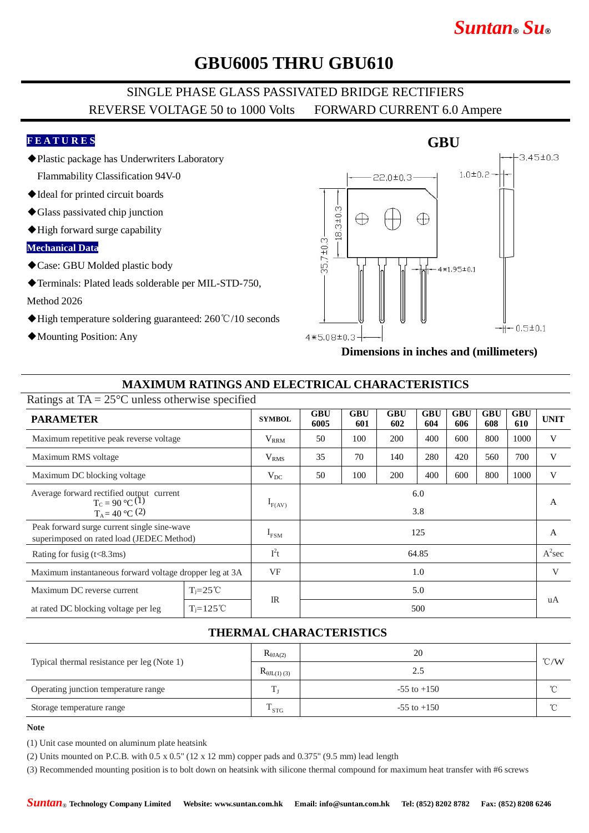# *Suntan***®** *Su***®**

# **GBU6005 THRU GBU610**

## SINGLE PHASE GLASS PASSIVATED BRIDGE RECTIFIERS REVERSE VOLTAGE 50 to 1000 Volts FORWARD CURRENT 6.0 Ampere

#### **F E A T U R E S**

- ◆Plastic package has Underwriters Laboratory Flammability Classification 94V-0
- ◆Ideal for printed circuit boards
- ◆Glass passivated chip junction
- ◆High forward surge capability

#### **Mechanical Data**

◆Case: GBU Molded plastic body

◆Terminals: Plated leads solderable per MIL-STD-750, Method 2026

- ◆High temperature soldering guaranteed: 260℃/10 seconds
- ◆Mounting Position: Any



**Dimensions in inches and (millimeters)**

### **MAXIMUM RATINGS AND ELECTRICAL CHARACTERISTICS**

| Ratings at $TA = 25^{\circ}C$ unless otherwise specified                                 |                      |                  |                    |                   |                   |                   |                   |                   |                   |             |
|------------------------------------------------------------------------------------------|----------------------|------------------|--------------------|-------------------|-------------------|-------------------|-------------------|-------------------|-------------------|-------------|
| <b>PARAMETER</b>                                                                         |                      | <b>SYMBOL</b>    | <b>GBU</b><br>6005 | <b>GBU</b><br>601 | <b>GBU</b><br>602 | <b>GBU</b><br>604 | <b>GBU</b><br>606 | <b>GBU</b><br>608 | <b>GBU</b><br>610 | <b>UNIT</b> |
| Maximum repetitive peak reverse voltage                                                  |                      | $V_{RRM}$        | 50                 | 100               | 200               | 400               | 600               | 800               | 1000              | V           |
| Maximum RMS voltage                                                                      |                      | V <sub>RMS</sub> | 35                 | 70                | 140               | 280               | 420               | 560               | 700               | V           |
| Maximum DC blocking voltage                                                              |                      | $V_{DC}$         | 50                 | 100               | 200               | 400               | 600               | 800               | 1000              | V           |
| Average forward rectified output current<br>$T_c = 90 °C(1)$<br>$T_A = 40$ °C (2)        |                      | $I_{F(AV)}$      | 6.0<br>3.8         |                   |                   |                   |                   |                   | A                 |             |
| Peak forward surge current single sine-wave<br>superimposed on rated load (JEDEC Method) |                      | $I_{FSM}$        | 125                |                   |                   |                   |                   |                   | A                 |             |
| Rating for fusig $(t<8.3ms)$                                                             |                      | $I^2t$           | 64.85              |                   |                   |                   |                   |                   |                   | $A^2$ sec   |
| Maximum instantaneous forward voltage dropper leg at 3A                                  |                      | <b>VF</b>        | 1.0                |                   |                   |                   |                   |                   |                   | V           |
| Maximum DC reverse current                                                               | $T = 25^{\circ}C$    |                  | 5.0<br>500         |                   |                   |                   |                   |                   |                   |             |
| at rated DC blocking voltage per leg                                                     | $T_i = 125^{\circ}C$ | $_{\rm IR}$      |                    |                   |                   |                   |                   |                   |                   |             |

### **THERMAL CHARACTERISTICS**

|                                             | $R_{\theta J A(2)}$   | 20              | $\degree$ C/W |  |
|---------------------------------------------|-----------------------|-----------------|---------------|--|
| Typical thermal resistance per leg (Note 1) | $R_{\theta JL(1)(3)}$ | 2.5             |               |  |
| Operating junction temperature range        | m                     | $-55$ to $+150$ | $\sim$        |  |
| Storage temperature range                   | m<br>$\cdot$ STG      | $-55$ to $+150$ | $\sim$        |  |

#### **Note**

(1) Unit case mounted on aluminum plate heatsink

(2) Units mounted on P.C.B. with  $0.5 \times 0.5$ " ( $12 \times 12$  mm) copper pads and  $0.375$ " ( $9.5$  mm) lead length

(3) Recommended mounting position is to bolt down on heatsink with silicone thermal compound for maximum heat transfer with #6 screws